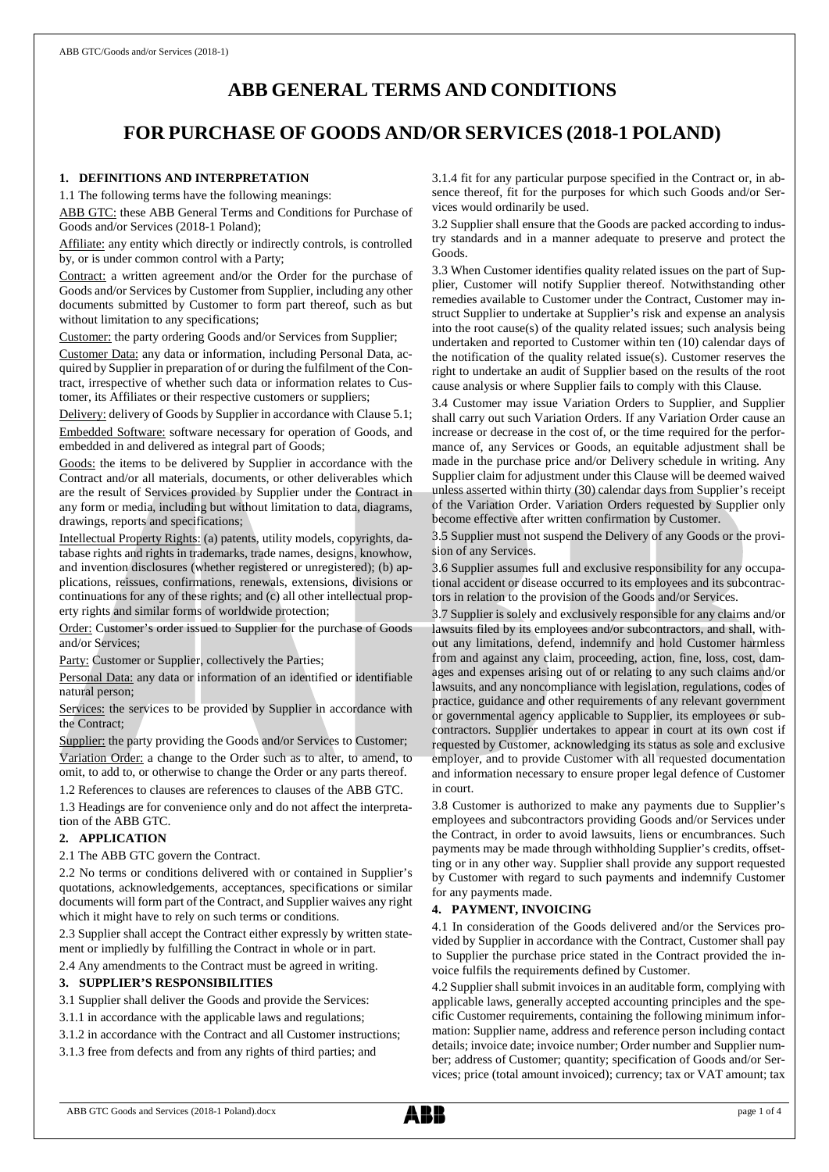# **ABB GENERAL TERMS AND CONDITIONS**

# **FOR PURCHASE OF GOODS AND/OR SERVICES (2018-1 POLAND)**

# **1. DEFINITIONS AND INTERPRETATION**

1.1 The following terms have the following meanings:

ABB GTC: these ABB General Terms and Conditions for Purchase of Goods and/or Services (2018-1 Poland);

Affiliate: any entity which directly or indirectly controls, is controlled by, or is under common control with a Party;

Contract: a written agreement and/or the Order for the purchase of Goods and/or Services by Customer from Supplier, including any other documents submitted by Customer to form part thereof, such as but without limitation to any specifications;

Customer: the party ordering Goods and/or Services from Supplier;

Customer Data: any data or information, including Personal Data, acquired by Supplier in preparation of or during the fulfilment of the Contract, irrespective of whether such data or information relates to Customer, its Affiliates or their respective customers or suppliers;

Delivery: delivery of Goods by Supplier in accordance with Clause 5.1;

Embedded Software: software necessary for operation of Goods, and embedded in and delivered as integral part of Goods;

Goods: the items to be delivered by Supplier in accordance with the Contract and/or all materials, documents, or other deliverables which are the result of Services provided by Supplier under the Contract in any form or media, including but without limitation to data, diagrams, drawings, reports and specifications;

Intellectual Property Rights: (a) patents, utility models, copyrights, database rights and rights in trademarks, trade names, designs, knowhow, and invention disclosures (whether registered or unregistered); (b) applications, reissues, confirmations, renewals, extensions, divisions or continuations for any of these rights; and (c) all other intellectual property rights and similar forms of worldwide protection;

Order: Customer's order issued to Supplier for the purchase of Goods and/or Services;

Party: Customer or Supplier, collectively the Parties;

Personal Data: any data or information of an identified or identifiable natural person;

Services: the services to be provided by Supplier in accordance with the Contract;

Supplier: the party providing the Goods and/or Services to Customer; Variation Order: a change to the Order such as to alter, to amend, to omit, to add to, or otherwise to change the Order or any parts thereof.

1.2 References to clauses are references to clauses of the ABB GTC.

1.3 Headings are for convenience only and do not affect the interpretation of the ABB GTC.

### **2. APPLICATION**

2.1 The ABB GTC govern the Contract.

2.2 No terms or conditions delivered with or contained in Supplier's quotations, acknowledgements, acceptances, specifications or similar documents will form part of the Contract, and Supplier waives any right which it might have to rely on such terms or conditions.

2.3 Supplier shall accept the Contract either expressly by written statement or impliedly by fulfilling the Contract in whole or in part.

2.4 Any amendments to the Contract must be agreed in writing.

### **3. SUPPLIER'S RESPONSIBILITIES**

3.1 Supplier shall deliver the Goods and provide the Services:

- 3.1.1 in accordance with the applicable laws and regulations;
- 3.1.2 in accordance with the Contract and all Customer instructions;

3.1.3 free from defects and from any rights of third parties; and

3.1.4 fit for any particular purpose specified in the Contract or, in absence thereof, fit for the purposes for which such Goods and/or Services would ordinarily be used.

3.2 Supplier shall ensure that the Goods are packed according to industry standards and in a manner adequate to preserve and protect the Goods.

3.3 When Customer identifies quality related issues on the part of Supplier, Customer will notify Supplier thereof. Notwithstanding other remedies available to Customer under the Contract, Customer may instruct Supplier to undertake at Supplier's risk and expense an analysis into the root cause(s) of the quality related issues; such analysis being undertaken and reported to Customer within ten (10) calendar days of the notification of the quality related issue(s). Customer reserves the right to undertake an audit of Supplier based on the results of the root cause analysis or where Supplier fails to comply with this Clause.

3.4 Customer may issue Variation Orders to Supplier, and Supplier shall carry out such Variation Orders. If any Variation Order cause an increase or decrease in the cost of, or the time required for the performance of, any Services or Goods, an equitable adjustment shall be made in the purchase price and/or Delivery schedule in writing. Any Supplier claim for adjustment under this Clause will be deemed waived unless asserted within thirty (30) calendar days from Supplier's receipt of the Variation Order. Variation Orders requested by Supplier only become effective after written confirmation by Customer.

3.5 Supplier must not suspend the Delivery of any Goods or the provision of any Services.

3.6 Supplier assumes full and exclusive responsibility for any occupational accident or disease occurred to its employees and its subcontractors in relation to the provision of the Goods and/or Services.

3.7 Supplier is solely and exclusively responsible for any claims and/or lawsuits filed by its employees and/or subcontractors, and shall, without any limitations, defend, indemnify and hold Customer harmless from and against any claim, proceeding, action, fine, loss, cost, damages and expenses arising out of or relating to any such claims and/or lawsuits, and any noncompliance with legislation, regulations, codes of practice, guidance and other requirements of any relevant government or governmental agency applicable to Supplier, its employees or subcontractors. Supplier undertakes to appear in court at its own cost if requested by Customer, acknowledging its status as sole and exclusive employer, and to provide Customer with all requested documentation and information necessary to ensure proper legal defence of Customer in court.

3.8 Customer is authorized to make any payments due to Supplier's employees and subcontractors providing Goods and/or Services under the Contract, in order to avoid lawsuits, liens or encumbrances. Such payments may be made through withholding Supplier's credits, offsetting or in any other way. Supplier shall provide any support requested by Customer with regard to such payments and indemnify Customer for any payments made.

## **4. PAYMENT, INVOICING**

4.1 In consideration of the Goods delivered and/or the Services provided by Supplier in accordance with the Contract, Customer shall pay to Supplier the purchase price stated in the Contract provided the invoice fulfils the requirements defined by Customer.

4.2 Supplier shall submit invoices in an auditable form, complying with applicable laws, generally accepted accounting principles and the specific Customer requirements, containing the following minimum information: Supplier name, address and reference person including contact details; invoice date; invoice number; Order number and Supplier number; address of Customer; quantity; specification of Goods and/or Services; price (total amount invoiced); currency; tax or VAT amount; tax

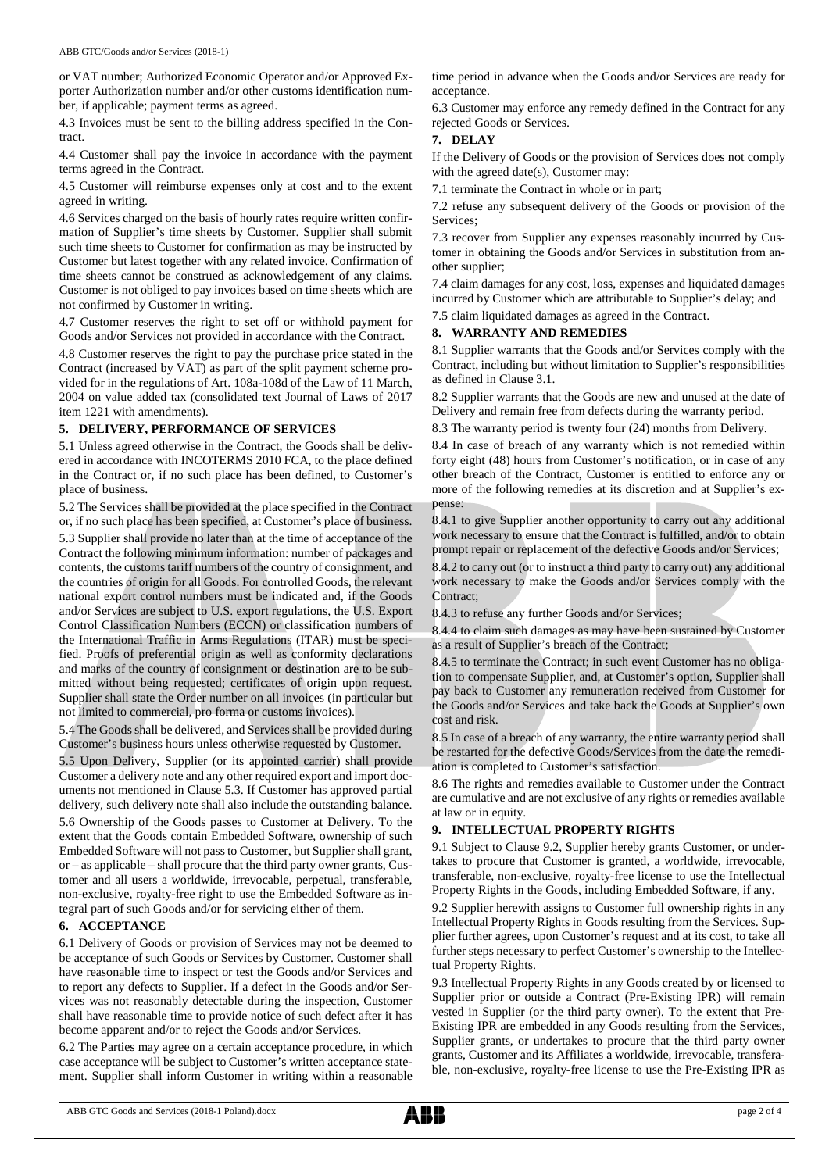or VAT number; Authorized Economic Operator and/or Approved Exporter Authorization number and/or other customs identification number, if applicable; payment terms as agreed.

4.3 Invoices must be sent to the billing address specified in the Contract.

4.4 Customer shall pay the invoice in accordance with the payment terms agreed in the Contract.

4.5 Customer will reimburse expenses only at cost and to the extent agreed in writing.

4.6 Services charged on the basis of hourly rates require written confirmation of Supplier's time sheets by Customer. Supplier shall submit such time sheets to Customer for confirmation as may be instructed by Customer but latest together with any related invoice. Confirmation of time sheets cannot be construed as acknowledgement of any claims. Customer is not obliged to pay invoices based on time sheets which are not confirmed by Customer in writing.

4.7 Customer reserves the right to set off or withhold payment for Goods and/or Services not provided in accordance with the Contract.

4.8 Customer reserves the right to pay the purchase price stated in the Contract (increased by VAT) as part of the split payment scheme provided for in the regulations of Art. 108a-108d of the Law of 11 March, 2004 on value added tax (consolidated text Journal of Laws of 2017 item 1221 with amendments).

#### **5. DELIVERY, PERFORMANCE OF SERVICES**

5.1 Unless agreed otherwise in the Contract, the Goods shall be delivered in accordance with INCOTERMS 2010 FCA, to the place defined in the Contract or, if no such place has been defined, to Customer's place of business.

5.2 The Services shall be provided at the place specified in the Contract or, if no such place has been specified, at Customer's place of business. 5.3 Supplier shall provide no later than at the time of acceptance of the Contract the following minimum information: number of packages and contents, the customs tariff numbers of the country of consignment, and the countries of origin for all Goods. For controlled Goods, the relevant national export control numbers must be indicated and, if the Goods and/or Services are subject to U.S. export regulations, the U.S. Export Control Classification Numbers (ECCN) or classification numbers of the International Traffic in Arms Regulations (ITAR) must be specified. Proofs of preferential origin as well as conformity declarations and marks of the country of consignment or destination are to be submitted without being requested; certificates of origin upon request. Supplier shall state the Order number on all invoices (in particular but not limited to commercial, pro forma or customs invoices).

5.4 The Goods shall be delivered, and Services shall be provided during Customer's business hours unless otherwise requested by Customer.

5.5 Upon Delivery, Supplier (or its appointed carrier) shall provide Customer a delivery note and any other required export and import documents not mentioned in Clause 5.3. If Customer has approved partial delivery, such delivery note shall also include the outstanding balance.

5.6 Ownership of the Goods passes to Customer at Delivery. To the extent that the Goods contain Embedded Software, ownership of such Embedded Software will not passto Customer, but Supplier shall grant, or – as applicable – shall procure that the third party owner grants, Customer and all users a worldwide, irrevocable, perpetual, transferable, non-exclusive, royalty-free right to use the Embedded Software as integral part of such Goods and/or for servicing either of them.

#### **6. ACCEPTANCE**

6.1 Delivery of Goods or provision of Services may not be deemed to be acceptance of such Goods or Services by Customer. Customer shall have reasonable time to inspect or test the Goods and/or Services and to report any defects to Supplier. If a defect in the Goods and/or Services was not reasonably detectable during the inspection, Customer shall have reasonable time to provide notice of such defect after it has become apparent and/or to reject the Goods and/or Services.

6.2 The Parties may agree on a certain acceptance procedure, in which case acceptance will be subject to Customer's written acceptance statement. Supplier shall inform Customer in writing within a reasonable time period in advance when the Goods and/or Services are ready for acceptance.

6.3 Customer may enforce any remedy defined in the Contract for any rejected Goods or Services.

#### **7. DELAY**

If the Delivery of Goods or the provision of Services does not comply with the agreed date(s), Customer may:

7.1 terminate the Contract in whole or in part;

7.2 refuse any subsequent delivery of the Goods or provision of the Services;

7.3 recover from Supplier any expenses reasonably incurred by Customer in obtaining the Goods and/or Services in substitution from another supplier;

7.4 claim damages for any cost, loss, expenses and liquidated damages incurred by Customer which are attributable to Supplier's delay; and

7.5 claim liquidated damages as agreed in the Contract.

## **8. WARRANTY AND REMEDIES**

8.1 Supplier warrants that the Goods and/or Services comply with the Contract, including but without limitation to Supplier's responsibilities as defined in Clause 3.1.

8.2 Supplier warrants that the Goods are new and unused at the date of Delivery and remain free from defects during the warranty period.

8.3 The warranty period is twenty four (24) months from Delivery.

8.4 In case of breach of any warranty which is not remedied within forty eight (48) hours from Customer's notification, or in case of any other breach of the Contract, Customer is entitled to enforce any or more of the following remedies at its discretion and at Supplier's expense:

8.4.1 to give Supplier another opportunity to carry out any additional work necessary to ensure that the Contract is fulfilled, and/or to obtain prompt repair or replacement of the defective Goods and/or Services;

8.4.2 to carry out (or to instruct a third party to carry out) any additional work necessary to make the Goods and/or Services comply with the Contract;

8.4.3 to refuse any further Goods and/or Services;

8.4.4 to claim such damages as may have been sustained by Customer as a result of Supplier's breach of the Contract;

8.4.5 to terminate the Contract; in such event Customer has no obligation to compensate Supplier, and, at Customer's option, Supplier shall pay back to Customer any remuneration received from Customer for the Goods and/or Services and take back the Goods at Supplier's own cost and risk.

8.5 In case of a breach of any warranty, the entire warranty period shall be restarted for the defective Goods/Services from the date the remediation is completed to Customer's satisfaction.

8.6 The rights and remedies available to Customer under the Contract are cumulative and are not exclusive of any rights or remedies available at law or in equity.

## **9. INTELLECTUAL PROPERTY RIGHTS**

9.1 Subject to Clause 9.2, Supplier hereby grants Customer, or undertakes to procure that Customer is granted, a worldwide, irrevocable, transferable, non-exclusive, royalty-free license to use the Intellectual Property Rights in the Goods, including Embedded Software, if any.

9.2 Supplier herewith assigns to Customer full ownership rights in any Intellectual Property Rights in Goods resulting from the Services. Supplier further agrees, upon Customer's request and at its cost, to take all further steps necessary to perfect Customer's ownership to the Intellectual Property Rights.

9.3 Intellectual Property Rights in any Goods created by or licensed to Supplier prior or outside a Contract (Pre-Existing IPR) will remain vested in Supplier (or the third party owner). To the extent that Pre-Existing IPR are embedded in any Goods resulting from the Services, Supplier grants, or undertakes to procure that the third party owner grants, Customer and its Affiliates a worldwide, irrevocable, transferable, non-exclusive, royalty-free license to use the Pre-Existing IPR as

ABB GTC Goods and Services (2018-1 Poland).docx page 2 of 4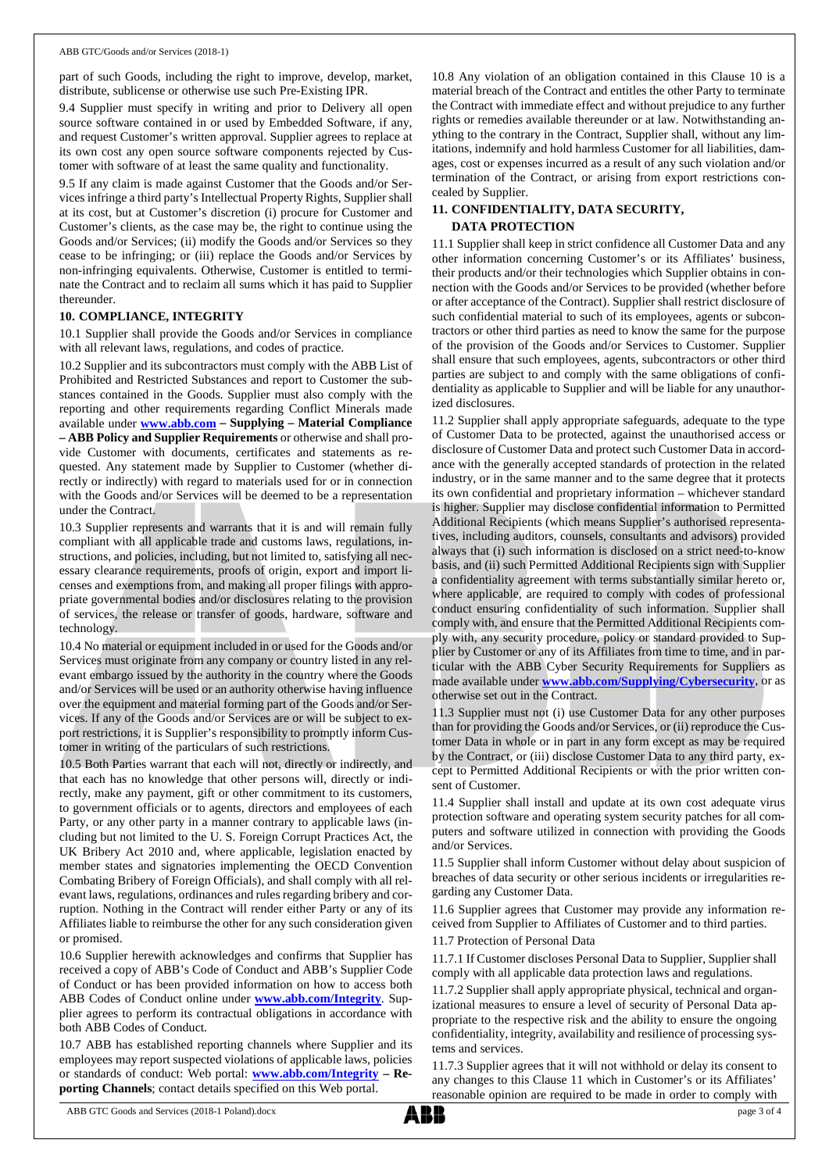part of such Goods, including the right to improve, develop, market, distribute, sublicense or otherwise use such Pre-Existing IPR.

9.4 Supplier must specify in writing and prior to Delivery all open source software contained in or used by Embedded Software, if any, and request Customer's written approval. Supplier agrees to replace at its own cost any open source software components rejected by Customer with software of at least the same quality and functionality.

9.5 If any claim is made against Customer that the Goods and/or Services infringe a third party's Intellectual Property Rights, Supplier shall at its cost, but at Customer's discretion (i) procure for Customer and Customer's clients, as the case may be, the right to continue using the Goods and/or Services; (ii) modify the Goods and/or Services so they cease to be infringing; or (iii) replace the Goods and/or Services by non-infringing equivalents. Otherwise, Customer is entitled to terminate the Contract and to reclaim all sums which it has paid to Supplier thereunder.

### **10. COMPLIANCE, INTEGRITY**

10.1 Supplier shall provide the Goods and/or Services in compliance with all relevant laws, regulations, and codes of practice.

10.2 Supplier and its subcontractors must comply with the ABB List of Prohibited and Restricted Substances and report to Customer the substances contained in the Goods. Supplier must also comply with the reporting and other requirements regarding Conflict Minerals made available under **[www.abb.com](http://www.abb.com/) – Supplying – Material Compliance – ABB Policy and Supplier Requirements** or otherwise and shall provide Customer with documents, certificates and statements as requested. Any statement made by Supplier to Customer (whether directly or indirectly) with regard to materials used for or in connection with the Goods and/or Services will be deemed to be a representation under the Contract.

10.3 Supplier represents and warrants that it is and will remain fully compliant with all applicable trade and customs laws, regulations, instructions, and policies, including, but not limited to, satisfying all necessary clearance requirements, proofs of origin, export and import licenses and exemptions from, and making all proper filings with appropriate governmental bodies and/or disclosures relating to the provision of services, the release or transfer of goods, hardware, software and technology.

10.4 No material or equipment included in or used for the Goods and/or Services must originate from any company or country listed in any relevant embargo issued by the authority in the country where the Goods and/or Services will be used or an authority otherwise having influence over the equipment and material forming part of the Goods and/or Services. If any of the Goods and/or Services are or will be subject to export restrictions, it is Supplier's responsibility to promptly inform Customer in writing of the particulars of such restrictions.

10.5 Both Parties warrant that each will not, directly or indirectly, and that each has no knowledge that other persons will, directly or indirectly, make any payment, gift or other commitment to its customers, to government officials or to agents, directors and employees of each Party, or any other party in a manner contrary to applicable laws (including but not limited to the U. S. Foreign Corrupt Practices Act, the UK Bribery Act 2010 and, where applicable, legislation enacted by member states and signatories implementing the OECD Convention Combating Bribery of Foreign Officials), and shall comply with all relevant laws, regulations, ordinances and rules regarding bribery and corruption. Nothing in the Contract will render either Party or any of its Affiliates liable to reimburse the other for any such consideration given or promised.

10.6 Supplier herewith acknowledges and confirms that Supplier has received a copy of ABB's Code of Conduct and ABB's Supplier Code of Conduct or has been provided information on how to access both ABB Codes of Conduct online under **[www.abb.com/Integrity](http://www.abb.com/Integrity)**. Supplier agrees to perform its contractual obligations in accordance with both ABB Codes of Conduct.

10.7 ABB has established reporting channels where Supplier and its employees may report suspected violations of applicable laws, policies or standards of conduct: Web portal: **[www.abb.com/Integrity](http://www.abb.com/Integrity) – Reporting Channels**; contact details specified on this Web portal.

10.8 Any violation of an obligation contained in this Clause 10 is a material breach of the Contract and entitles the other Party to terminate the Contract with immediate effect and without prejudice to any further rights or remedies available thereunder or at law. Notwithstanding anything to the contrary in the Contract, Supplier shall, without any limitations, indemnify and hold harmless Customer for all liabilities, damages, cost or expenses incurred as a result of any such violation and/or termination of the Contract, or arising from export restrictions concealed by Supplier.

## **11. CONFIDENTIALITY, DATA SECURITY, DATA PROTECTION**

11.1 Supplier shall keep in strict confidence all Customer Data and any other information concerning Customer's or its Affiliates' business, their products and/or their technologies which Supplier obtains in connection with the Goods and/or Services to be provided (whether before or after acceptance of the Contract). Supplier shall restrict disclosure of such confidential material to such of its employees, agents or subcontractors or other third parties as need to know the same for the purpose of the provision of the Goods and/or Services to Customer. Supplier shall ensure that such employees, agents, subcontractors or other third parties are subject to and comply with the same obligations of confidentiality as applicable to Supplier and will be liable for any unauthorized disclosures.

11.2 Supplier shall apply appropriate safeguards, adequate to the type of Customer Data to be protected, against the unauthorised access or disclosure of Customer Data and protect such Customer Data in accordance with the generally accepted standards of protection in the related industry, or in the same manner and to the same degree that it protects its own confidential and proprietary information – whichever standard is higher. Supplier may disclose confidential information to Permitted Additional Recipients (which means Supplier's authorised representatives, including auditors, counsels, consultants and advisors) provided always that (i) such information is disclosed on a strict need-to-know basis, and (ii) such Permitted Additional Recipients sign with Supplier a confidentiality agreement with terms substantially similar hereto or, where applicable, are required to comply with codes of professional conduct ensuring confidentiality of such information. Supplier shall comply with, and ensure that the Permitted Additional Recipients comply with, any security procedure, policy or standard provided to Supplier by Customer or any of its Affiliates from time to time, and in particular with the ABB Cyber Security Requirements for Suppliers as made available under **[www.abb.com/Supplying/Cybersecurity](http://www.abb.com/Supplying/Cybersecurity)**, or as otherwise set out in the Contract.

11.3 Supplier must not (i) use Customer Data for any other purposes than for providing the Goods and/or Services, or (ii) reproduce the Customer Data in whole or in part in any form except as may be required by the Contract, or (iii) disclose Customer Data to any third party, except to Permitted Additional Recipients or with the prior written consent of Customer.

11.4 Supplier shall install and update at its own cost adequate virus protection software and operating system security patches for all computers and software utilized in connection with providing the Goods and/or Services.

11.5 Supplier shall inform Customer without delay about suspicion of breaches of data security or other serious incidents or irregularities regarding any Customer Data.

11.6 Supplier agrees that Customer may provide any information received from Supplier to Affiliates of Customer and to third parties.

11.7 Protection of Personal Data

11.7.1 If Customer discloses Personal Data to Supplier, Supplier shall comply with all applicable data protection laws and regulations.

11.7.2 Supplier shall apply appropriate physical, technical and organizational measures to ensure a level of security of Personal Data appropriate to the respective risk and the ability to ensure the ongoing confidentiality, integrity, availability and resilience of processing systems and services.

11.7.3 Supplier agrees that it will not withhold or delay its consent to any changes to this Clause 11 which in Customer's or its Affiliates' reasonable opinion are required to be made in order to comply with